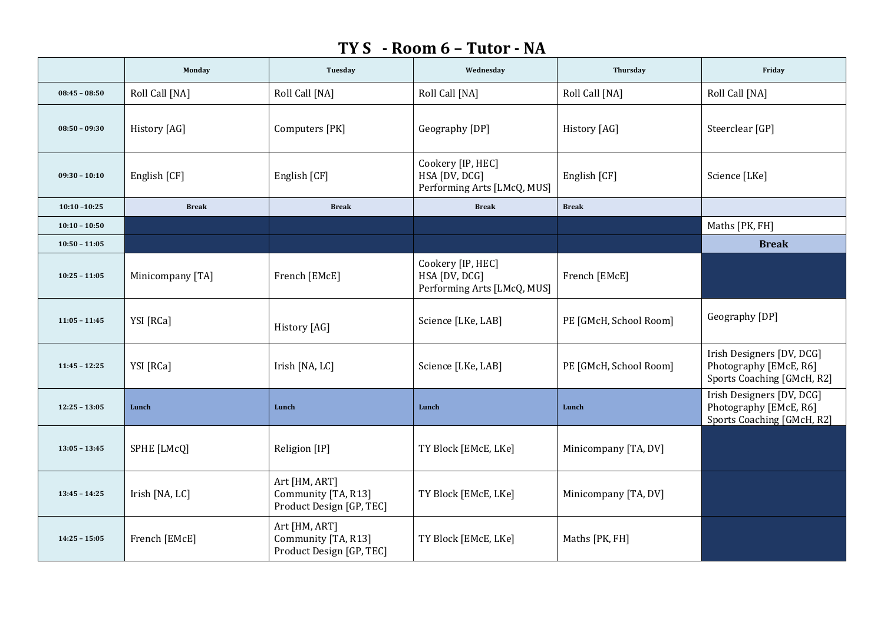## **TY S - Room 6 – Tutor - NA**

|                 | Monday           | Tuesday                                                          | Wednesday                                                         | Thursday               | Friday                                                                            |
|-----------------|------------------|------------------------------------------------------------------|-------------------------------------------------------------------|------------------------|-----------------------------------------------------------------------------------|
| $08:45 - 08:50$ | Roll Call [NA]   | Roll Call [NA]                                                   | Roll Call [NA]                                                    | Roll Call [NA]         | Roll Call [NA]                                                                    |
| $08:50 - 09:30$ | History [AG]     | Computers [PK]                                                   | Geography [DP]                                                    | History [AG]           | Steerclear [GP]                                                                   |
| $09:30 - 10:10$ | English [CF]     | English [CF]                                                     | Cookery [IP, HEC]<br>HSA [DV, DCG]<br>Performing Arts [LMcQ, MUS] | English [CF]           | Science [LKe]                                                                     |
| $10:10 - 10:25$ | <b>Break</b>     | <b>Break</b>                                                     | <b>Break</b>                                                      | <b>Break</b>           |                                                                                   |
| $10:10 - 10:50$ |                  |                                                                  |                                                                   |                        | Maths [PK, FH]                                                                    |
| $10:50 - 11:05$ |                  |                                                                  |                                                                   |                        | <b>Break</b>                                                                      |
| $10:25 - 11:05$ | Minicompany [TA] | French [EMcE]                                                    | Cookery [IP, HEC]<br>HSA [DV, DCG]<br>Performing Arts [LMcQ, MUS] | French [EMcE]          |                                                                                   |
| $11:05 - 11:45$ | YSI [RCa]        | History [AG]                                                     | Science [LKe, LAB]                                                | PE [GMcH, School Room] | Geography [DP]                                                                    |
| $11:45 - 12:25$ | YSI [RCa]        | Irish [NA, LC]                                                   | Science [LKe, LAB]                                                | PE [GMcH, School Room] | Irish Designers [DV, DCG]<br>Photography [EMcE, R6]<br>Sports Coaching [GMcH, R2] |
| $12:25 - 13:05$ | Lunch            | Lunch                                                            | Lunch                                                             | Lunch                  | Irish Designers [DV, DCG]<br>Photography [EMcE, R6]<br>Sports Coaching [GMcH, R2] |
| $13:05 - 13:45$ | SPHE [LMcQ]      | Religion [IP]                                                    | TY Block [EMcE, LKe]                                              | Minicompany [TA, DV]   |                                                                                   |
| $13:45 - 14:25$ | Irish [NA, LC]   | Art [HM, ART]<br>Community [TA, R13]<br>Product Design [GP, TEC] | TY Block [EMcE, LKe]                                              | Minicompany [TA, DV]   |                                                                                   |
| $14:25 - 15:05$ | French [EMcE]    | Art [HM, ART]<br>Community [TA, R13]<br>Product Design [GP, TEC] | TY Block [EMcE, LKe]                                              | Maths [PK, FH]         |                                                                                   |